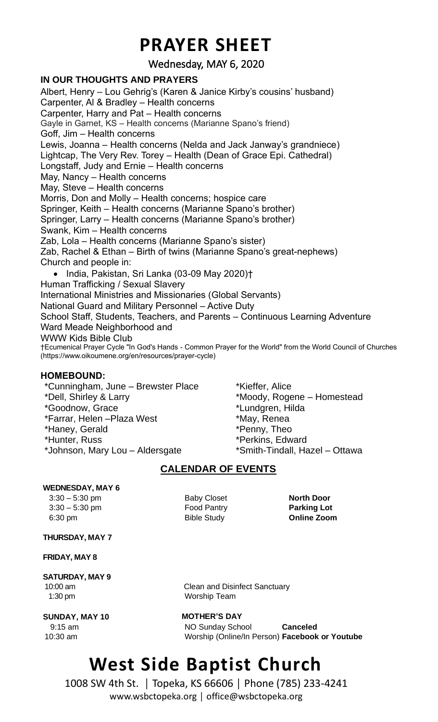## **PRAYER SHEET**

Wednesday, MAY 6, 2020

#### **IN OUR THOUGHTS AND PRAYERS**

Albert, Henry – Lou Gehrig's (Karen & Janice Kirby's cousins' husband) Carpenter, Al & Bradley – Health concerns Carpenter, Harry and Pat – Health concerns Gayle in Garnet, KS – Health concerns (Marianne Spano's friend) Goff, Jim – Health concerns Lewis, Joanna – Health concerns (Nelda and Jack Janway's grandniece) Lightcap, The Very Rev. Torey – Health (Dean of Grace Epi. Cathedral) Longstaff, Judy and Ernie – Health concerns May, Nancy – Health concerns May, Steve – Health concerns Morris, Don and Molly – Health concerns; hospice care Springer, Keith – Health concerns (Marianne Spano's brother) Springer, Larry – Health concerns (Marianne Spano's brother) Swank, Kim – Health concerns Zab, Lola – Health concerns (Marianne Spano's sister) Zab, Rachel & Ethan – Birth of twins (Marianne Spano's great-nephews) Church and people in: • India, Pakistan, Sri Lanka (03-09 May 2020)† Human Trafficking / Sexual Slavery International Ministries and Missionaries (Global Servants) National Guard and Military Personnel – Active Duty School Staff, Students, Teachers, and Parents – Continuous Learning Adventure Ward Meade Neighborhood and WWW Kids Bible Club †Ecumenical Prayer Cycle "In God's Hands - Common Prayer for the World" from the World Council of Churches (https://www.oikoumene.org/en/resources/prayer-cycle)

#### **HOMEBOUND:**

\*Cunningham, June – Brewster Place \*Dell, Shirley & Larry \*Goodnow, Grace \*Farrar, Helen –Plaza West \*Haney, Gerald \*Hunter, Russ \*Johnson, Mary Lou – Aldersgate

\*Kieffer, Alice \*Moody, Rogene – Homestead \*Lundgren, Hilda \*May, Renea \*Penny, Theo \*Perkins, Edward \*Smith-Tindall, Hazel – Ottawa

### **CALENDAR OF EVENTS**

#### **WEDNESDAY, MAY 6**

 3:30 – 5:30 pm Baby Closet **North Door** 3:30 – 5:30 pm Food Pantry **Parking Lot** 6:30 pm Bible Study **Online Zoom**

#### **THURSDAY, MAY 7**

#### **FRIDAY, MAY 8**

## **SATURDAY, MAY 9** 1:30 pm Worship Team

**SUNDAY, MAY 10 MOTHER'S DAY**

10:00 am **Clean and Disinfect Sanctuary** 

9:15 am NO Sunday School **Canceled** 10:30 am Worship (Online/In Person) **Facebook or Youtube**

# **West Side Baptist Church**

1008 SW 4th St. │ Topeka, KS 66606 │ Phone (785) 233-4241 www.wsbctopeka.org │ office@wsbctopeka.org